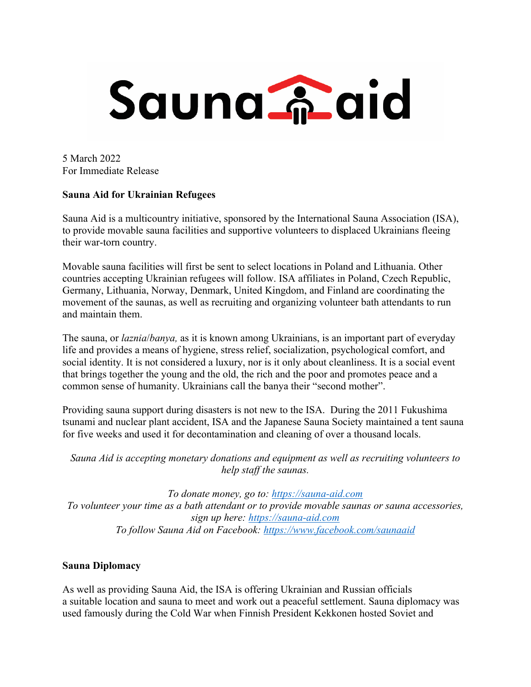

5 March 2022 For Immediate Release

## **Sauna Aid for Ukrainian Refugees**

Sauna Aid is a multicountry initiative, sponsored by the International Sauna Association (ISA), to provide movable sauna facilities and supportive volunteers to displaced Ukrainians fleeing their war-torn country.

Movable sauna facilities will first be sent to select locations in Poland and Lithuania. Other countries accepting Ukrainian refugees will follow. ISA affiliates in Poland, Czech Republic, Germany, Lithuania, Norway, Denmark, United Kingdom, and Finland are coordinating the movement of the saunas, as well as recruiting and organizing volunteer bath attendants to run and maintain them.

The sauna, or *laznia*/*banya,* as it is known among Ukrainians, is an important part of everyday life and provides a means of hygiene, stress relief, socialization, psychological comfort, and social identity. It is not considered a luxury, nor is it only about cleanliness. It is a social event that brings together the young and the old, the rich and the poor and promotes peace and a common sense of humanity. Ukrainians call the banya their "second mother".

Providing sauna support during disasters is not new to the ISA. During the 2011 Fukushima tsunami and nuclear plant accident, ISA and the Japanese Sauna Society maintained a tent sauna for five weeks and used it for decontamination and cleaning of over a thousand locals.

*Sauna Aid is accepting monetary donations and equipment as well as recruiting volunteers to help staff the saunas.*

*To donate money, go to: https://sauna-aid.com To volunteer your time as a bath attendant or to provide movable saunas or sauna accessories, sign up here: https://sauna-aid.com To follow Sauna Aid on Facebook: https://www.facebook.com/saunaaid*

# **Sauna Diplomacy**

As well as providing Sauna Aid, the ISA is offering Ukrainian and Russian officials a suitable location and sauna to meet and work out a peaceful settlement. Sauna diplomacy was used famously during the Cold War when Finnish President Kekkonen hosted Soviet and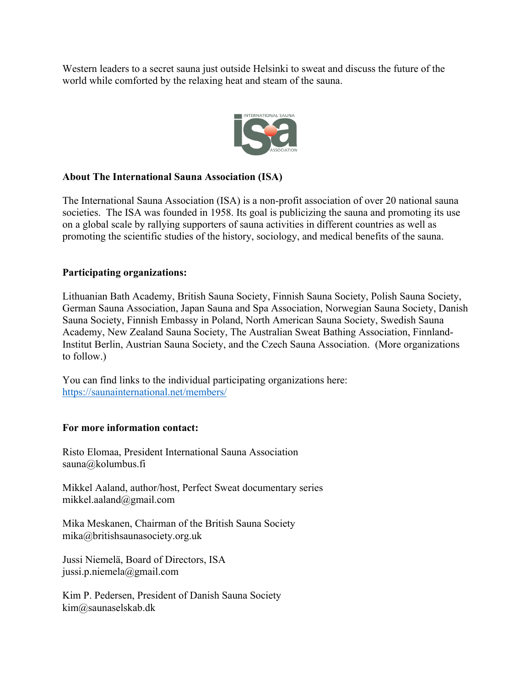Western leaders to a secret sauna just outside Helsinki to sweat and discuss the future of the world while comforted by the relaxing heat and steam of the sauna.



### **About The International Sauna Association (ISA)**

The International Sauna Association (ISA) is a non-profit association of over 20 national sauna societies. The ISA was founded in 1958. Its goal is publicizing the sauna and promoting its use on a global scale by rallying supporters of sauna activities in different countries as well as promoting the scientific studies of the history, sociology, and medical benefits of the sauna.

## **Participating organizations:**

Lithuanian Bath Academy, British Sauna Society, Finnish Sauna Society, Polish Sauna Society, German Sauna Association, Japan Sauna and Spa Association, Norwegian Sauna Society, Danish Sauna Society, Finnish Embassy in Poland, North American Sauna Society, Swedish Sauna Academy, New Zealand Sauna Society, The Australian Sweat Bathing Association, Finnland-Institut Berlin, Austrian Sauna Society, and the Czech Sauna Association. (More organizations to follow.)

You can find links to the individual participating organizations here: https://saunainternational.net/members/

### **For more information contact:**

Risto Elomaa, President International Sauna Association sauna@kolumbus.fi

Mikkel Aaland, author/host, Perfect Sweat documentary series mikkel.aaland@gmail.com

Mika Meskanen, Chairman of the British Sauna Society mika@britishsaunasociety.org.uk

Jussi Niemelä, Board of Directors, ISA jussi.p.niemela@gmail.com

Kim P. Pedersen, President of Danish Sauna Society kim@saunaselskab.dk